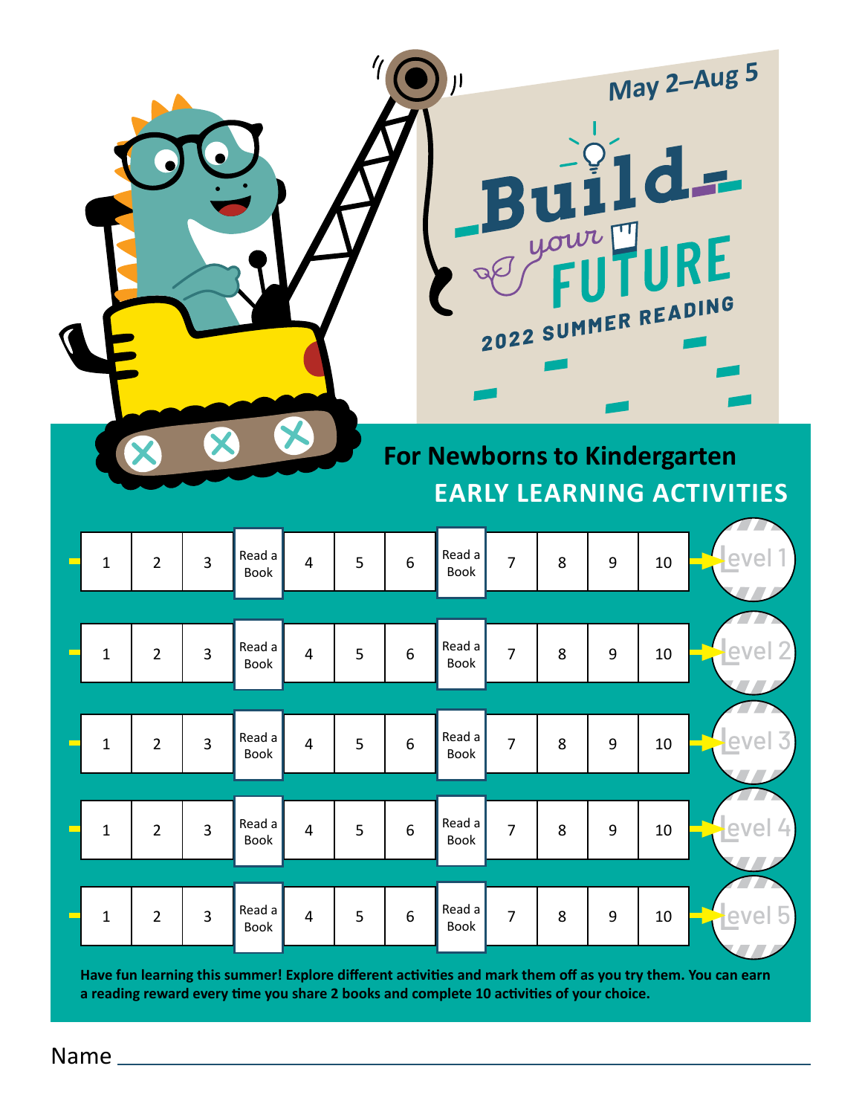|              |                |                         |                |                         |   |                  |                                     |                | J your |   |    | May 2-Aug 5<br>$Bu11d -$<br>IRE<br>2022 SUMMER READING |  |
|--------------|----------------|-------------------------|----------------|-------------------------|---|------------------|-------------------------------------|----------------|--------|---|----|--------------------------------------------------------|--|
|              |                |                         |                |                         |   |                  | <b>For Newborns to Kindergarten</b> |                |        |   |    | <b>EARLY LEARNING ACTIVITIES</b>                       |  |
| $\mathbf{1}$ | $\overline{2}$ | $\overline{3}$          | Read a<br>Book | $\overline{4}$          | 5 | $6\phantom{1}6$  | Read a<br>Book                      | $\overline{7}$ | 8      | 9 | 10 |                                                        |  |
| $\mathbf{1}$ | $\overline{2}$ | $\overline{3}$          | Read a<br>Book | $\overline{4}$          | 5 | 6                | Read a<br><b>Book</b>               | $\overline{7}$ | 8      | 9 | 10 |                                                        |  |
| $\mathbf 1$  | $\overline{2}$ | $\overline{\mathbf{3}}$ | Read a<br>Book | $\overline{4}$          | 5 | $\boldsymbol{6}$ | Read a<br>Book                      | $\overline{7}$ | 8      | 9 | 10 |                                                        |  |
| $\mathbf 1$  | $\overline{2}$ | 3                       | Read a<br>Book | $\overline{\mathbf{4}}$ | 5 | $\boldsymbol{6}$ | Read a<br>Book                      | $\overline{7}$ | 8      | 9 | 10 | evel                                                   |  |
| $\mathbf{1}$ | $\overline{2}$ | $\overline{3}$          | Read a<br>Book | 4                       | 5 | $\boldsymbol{6}$ | Read a<br>Book                      | $\overline{7}$ | 8      | 9 | 10 | evel                                                   |  |

**Have fun learning this summer! Explore different activities and mark them off as you try them. You can earn a reading reward every time you share 2 books and complete 10 activities of your choice.**